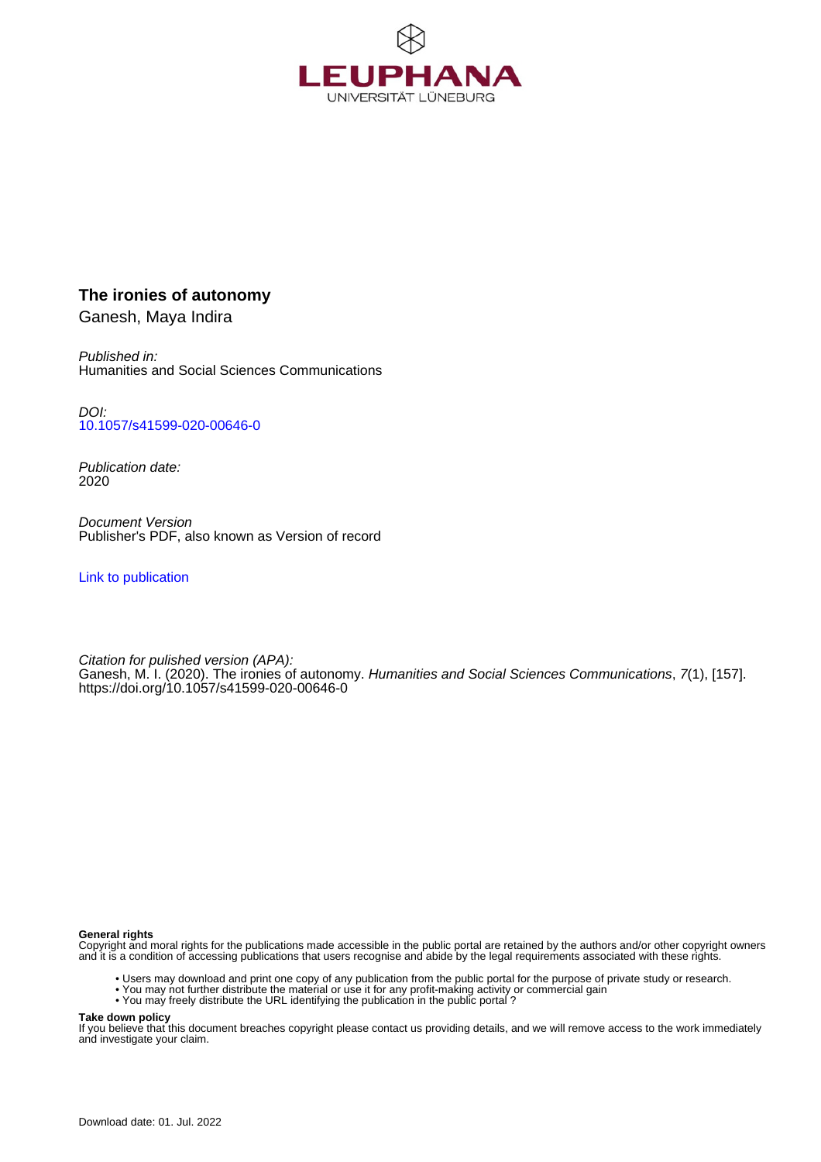

## **The ironies of autonomy**

Ganesh, Maya Indira

Published in: Humanities and Social Sciences Communications

DOI: [10.1057/s41599-020-00646-0](https://doi.org/10.1057/s41599-020-00646-0)

Publication date: 2020

Document Version Publisher's PDF, also known as Version of record

[Link to publication](http://fox.leuphana.de/portal/en/publications/the-ironies-of-autonomy(30cd4d84-eb7a-47af-8980-f15657d3a43b).html)

Citation for pulished version (APA): Ganesh, M. I. (2020). [The ironies of autonomy.](http://fox.leuphana.de/portal/de/publications/the-ironies-of-autonomy(30cd4d84-eb7a-47af-8980-f15657d3a43b).html) [Humanities and Social Sciences Communications](http://fox.leuphana.de/portal/de/journals/humanities--social-sciences-communications(268b74f5-6eca-4289-9d58-19382af7659d)/publications.html), 7(1), [157]. <https://doi.org/10.1057/s41599-020-00646-0>

#### **General rights**

Copyright and moral rights for the publications made accessible in the public portal are retained by the authors and/or other copyright owners and it is a condition of accessing publications that users recognise and abide by the legal requirements associated with these rights.

- Users may download and print one copy of any publication from the public portal for the purpose of private study or research.
- You may not further distribute the material or use it for any profit-making activity or commercial gain
- You may freely distribute the URL identifying the publication in the public portal ?

#### **Take down policy**

If you believe that this document breaches copyright please contact us providing details, and we will remove access to the work immediately and investigate your claim.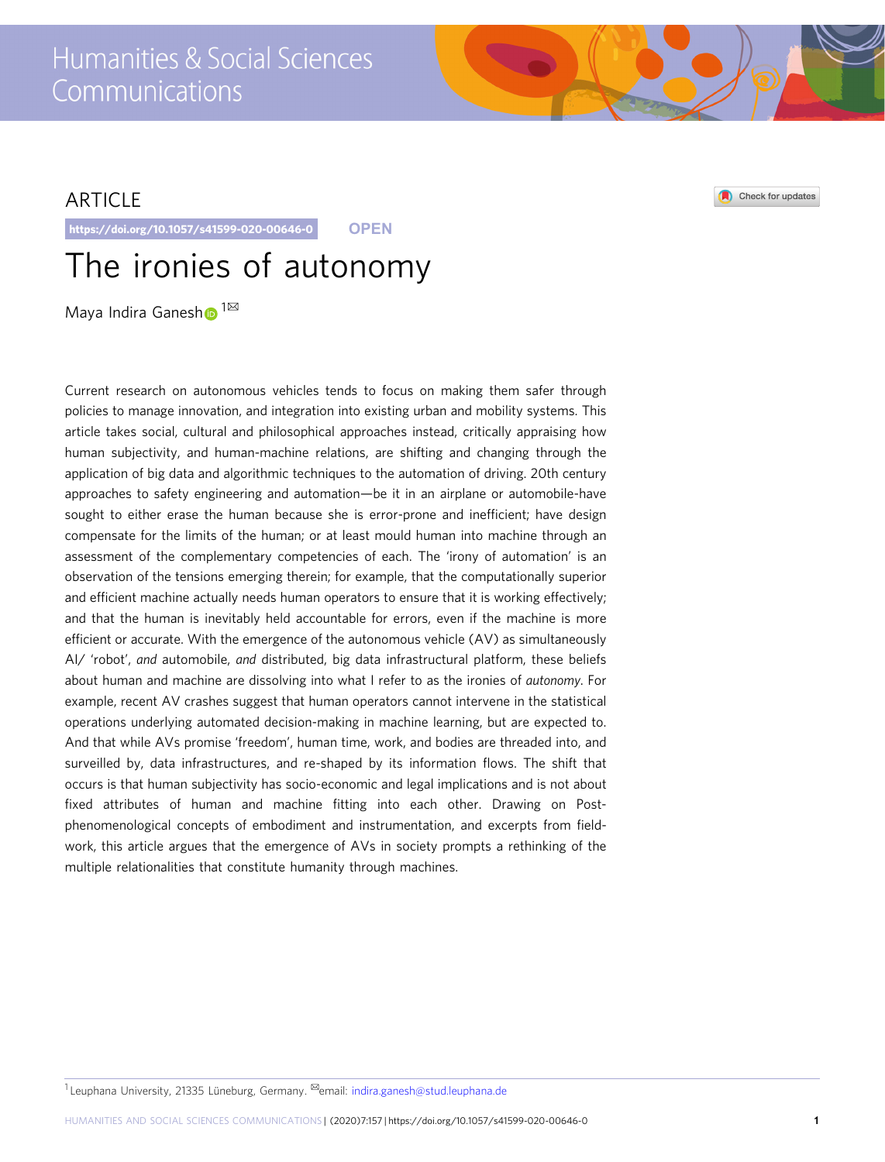## Humanities & Social Sciences Communications

## ARTICLE

https://doi.org/10.1057/s41599-020-00646-0 **OPEN**

# The ironies of autonomy

Maya Indira Ganes[h](http://orcid.org/0000-0002-0966-5880) <sup>1⊠</sup>

Current research on autonomous vehicles tends to focus on making them safer through policies to manage innovation, and integration into existing urban and mobility systems. This article takes social, cultural and philosophical approaches instead, critically appraising how human subjectivity, and human-machine relations, are shifting and changing through the application of big data and algorithmic techniques to the automation of driving. 20th century approaches to safety engineering and automation—be it in an airplane or automobile-have sought to either erase the human because she is error-prone and inefficient; have design compensate for the limits of the human; or at least mould human into machine through an assessment of the complementary competencies of each. The 'irony of automation' is an observation of the tensions emerging therein; for example, that the computationally superior and efficient machine actually needs human operators to ensure that it is working effectively; and that the human is inevitably held accountable for errors, even if the machine is more efficient or accurate. With the emergence of the autonomous vehicle (AV) as simultaneously AI/ 'robot', and automobile, and distributed, big data infrastructural platform, these beliefs about human and machine are dissolving into what I refer to as the ironies of autonomy. For example, recent AV crashes suggest that human operators cannot intervene in the statistical operations underlying automated decision-making in machine learning, but are expected to. And that while AVs promise 'freedom', human time, work, and bodies are threaded into, and surveilled by, data infrastructures, and re-shaped by its information flows. The shift that occurs is that human subjectivity has socio-economic and legal implications and is not about fixed attributes of human and machine fitting into each other. Drawing on Postphenomenological concepts of embodiment and instrumentation, and excerpts from fieldwork, this article argues that the emergence of AVs in society prompts a rethinking of the multiple relationalities that constitute humanity through machines.

Check for updates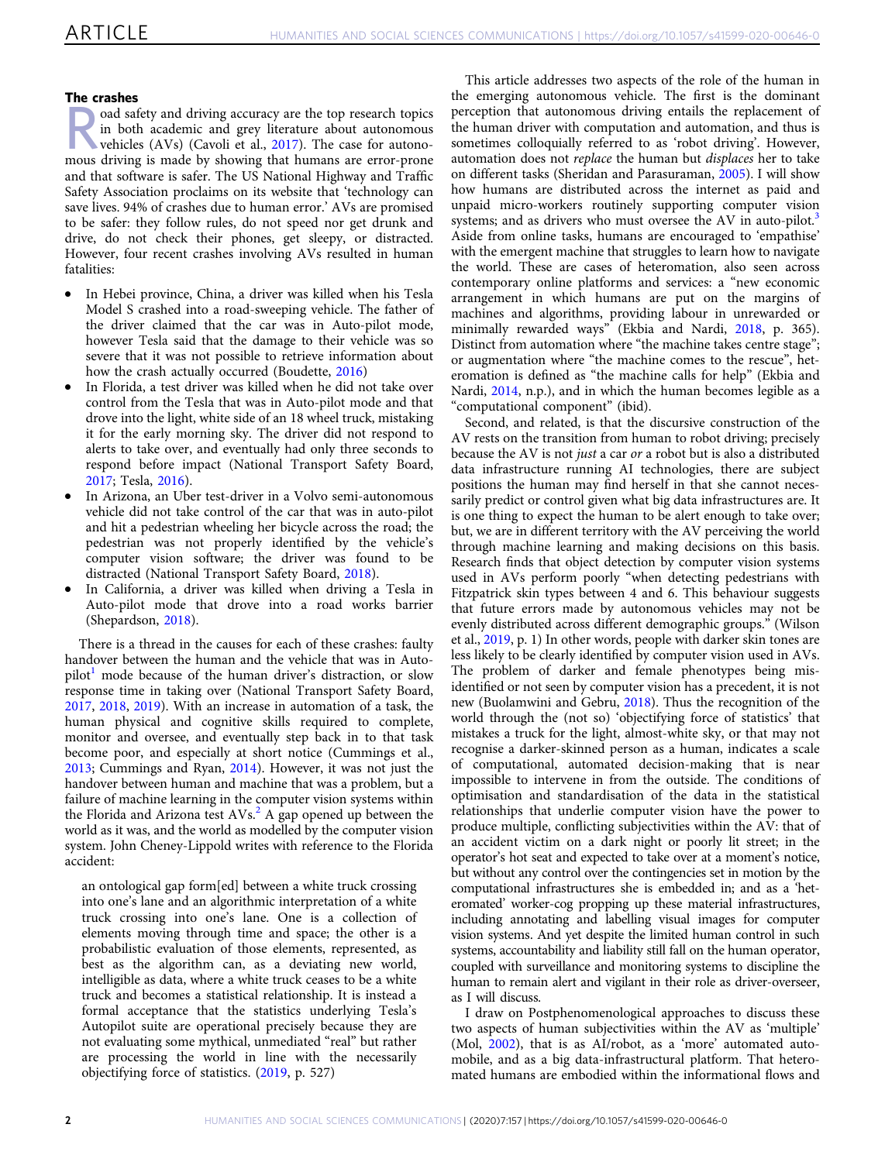#### The crashes

road safety and driving accuracy are the top research topics<br>in both academic and grey literature about autonomous<br>wehicles (AVs) (Cavoli et al., [2017\)](#page-9-0). The case for autono-<br>driving is mode by showing that humans are error in both academic and grey literature about autonomous mous driving is made by showing that humans are error-prone and that software is safer. The US National Highway and Traffic Safety Association proclaims on its website that 'technology can save lives. 94% of crashes due to human error.' AVs are promised to be safer: they follow rules, do not speed nor get drunk and drive, do not check their phones, get sleepy, or distracted. However, four recent crashes involving AVs resulted in human fatalities:

- In Hebei province, China, a driver was killed when his Tesla Model S crashed into a road-sweeping vehicle. The father of the driver claimed that the car was in Auto-pilot mode, however Tesla said that the damage to their vehicle was so severe that it was not possible to retrieve information about how the crash actually occurred (Boudette, [2016](#page-9-0))
- In Florida, a test driver was killed when he did not take over control from the Tesla that was in Auto-pilot mode and that drove into the light, white side of an 18 wheel truck, mistaking it for the early morning sky. The driver did not respond to alerts to take over, and eventually had only three seconds to respond before impact (National Transport Safety Board, [2017;](#page-9-0) Tesla, [2016](#page-10-0)).
- In Arizona, an Uber test-driver in a Volvo semi-autonomous vehicle did not take control of the car that was in auto-pilot and hit a pedestrian wheeling her bicycle across the road; the pedestrian was not properly identified by the vehicle's computer vision software; the driver was found to be distracted (National Transport Safety Board, [2018\)](#page-9-0).
- In California, a driver was killed when driving a Tesla in Auto-pilot mode that drove into a road works barrier (Shepardson, [2018](#page-10-0)).

There is a thread in the causes for each of these crashes: faulty handover between the human and the vehicle that was in Auto- $pilot<sup>1</sup>$  $pilot<sup>1</sup>$  $pilot<sup>1</sup>$  mode because of the human driver's distraction, or slow response time in taking over (National Transport Safety Board, [2017,](#page-9-0) [2018,](#page-9-0) [2019](#page-9-0)). With an increase in automation of a task, the human physical and cognitive skills required to complete, monitor and oversee, and eventually step back in to that task become poor, and especially at short notice (Cummings et al., [2013;](#page-9-0) Cummings and Ryan, [2014\)](#page-9-0). However, it was not just the handover between human and machine that was a problem, but a failure of machine learning in the computer vision systems within the Florida and Arizona test  $AVs<sup>2</sup>$  A gap opened up between the world as it was, and the world as modelled by the computer vision system. John Cheney-Lippold writes with reference to the Florida accident:

an ontological gap form[ed] between a white truck crossing into one's lane and an algorithmic interpretation of a white truck crossing into one's lane. One is a collection of elements moving through time and space; the other is a probabilistic evaluation of those elements, represented, as best as the algorithm can, as a deviating new world, intelligible as data, where a white truck ceases to be a white truck and becomes a statistical relationship. It is instead a formal acceptance that the statistics underlying Tesla's Autopilot suite are operational precisely because they are not evaluating some mythical, unmediated "real" but rather are processing the world in line with the necessarily objectifying force of statistics. [\(2019](#page-9-0), p. 527)

This article addresses two aspects of the role of the human in the emerging autonomous vehicle. The first is the dominant perception that autonomous driving entails the replacement of the human driver with computation and automation, and thus is sometimes colloquially referred to as 'robot driving'. However, automation does not replace the human but displaces her to take on different tasks (Sheridan and Parasuraman, [2005\)](#page-10-0). I will show how humans are distributed across the internet as paid and unpaid micro-workers routinely supporting computer vision systems; and as drivers who must oversee the AV in auto-pilot.<sup>[3](#page-8-0)</sup> Aside from online tasks, humans are encouraged to 'empathise' with the emergent machine that struggles to learn how to navigate the world. These are cases of heteromation, also seen across contemporary online platforms and services: a "new economic arrangement in which humans are put on the margins of machines and algorithms, providing labour in unrewarded or minimally rewarded ways" (Ekbia and Nardi, [2018,](#page-9-0) p. 365). Distinct from automation where "the machine takes centre stage"; or augmentation where "the machine comes to the rescue", heteromation is defined as "the machine calls for help" (Ekbia and Nardi, [2014,](#page-9-0) n.p.), and in which the human becomes legible as a "computational component" (ibid).

Second, and related, is that the discursive construction of the AV rests on the transition from human to robot driving; precisely because the AV is not just a car or a robot but is also a distributed data infrastructure running AI technologies, there are subject positions the human may find herself in that she cannot necessarily predict or control given what big data infrastructures are. It is one thing to expect the human to be alert enough to take over; but, we are in different territory with the AV perceiving the world through machine learning and making decisions on this basis. Research finds that object detection by computer vision systems used in AVs perform poorly "when detecting pedestrians with Fitzpatrick skin types between 4 and 6. This behaviour suggests that future errors made by autonomous vehicles may not be evenly distributed across different demographic groups." (Wilson et al., [2019,](#page-10-0) p. 1) In other words, people with darker skin tones are less likely to be clearly identified by computer vision used in AVs. The problem of darker and female phenotypes being misidentified or not seen by computer vision has a precedent, it is not new (Buolamwini and Gebru, [2018](#page-9-0)). Thus the recognition of the world through the (not so) 'objectifying force of statistics' that mistakes a truck for the light, almost-white sky, or that may not recognise a darker-skinned person as a human, indicates a scale of computational, automated decision-making that is near impossible to intervene in from the outside. The conditions of optimisation and standardisation of the data in the statistical relationships that underlie computer vision have the power to produce multiple, conflicting subjectivities within the AV: that of an accident victim on a dark night or poorly lit street; in the operator's hot seat and expected to take over at a moment's notice, but without any control over the contingencies set in motion by the computational infrastructures she is embedded in; and as a 'heteromated' worker-cog propping up these material infrastructures, including annotating and labelling visual images for computer vision systems. And yet despite the limited human control in such systems, accountability and liability still fall on the human operator, coupled with surveillance and monitoring systems to discipline the human to remain alert and vigilant in their role as driver-overseer, as I will discuss.

I draw on Postphenomenological approaches to discuss these two aspects of human subjectivities within the AV as 'multiple' (Mol, [2002\)](#page-9-0), that is as AI/robot, as a 'more' automated automobile, and as a big data-infrastructural platform. That heteromated humans are embodied within the informational flows and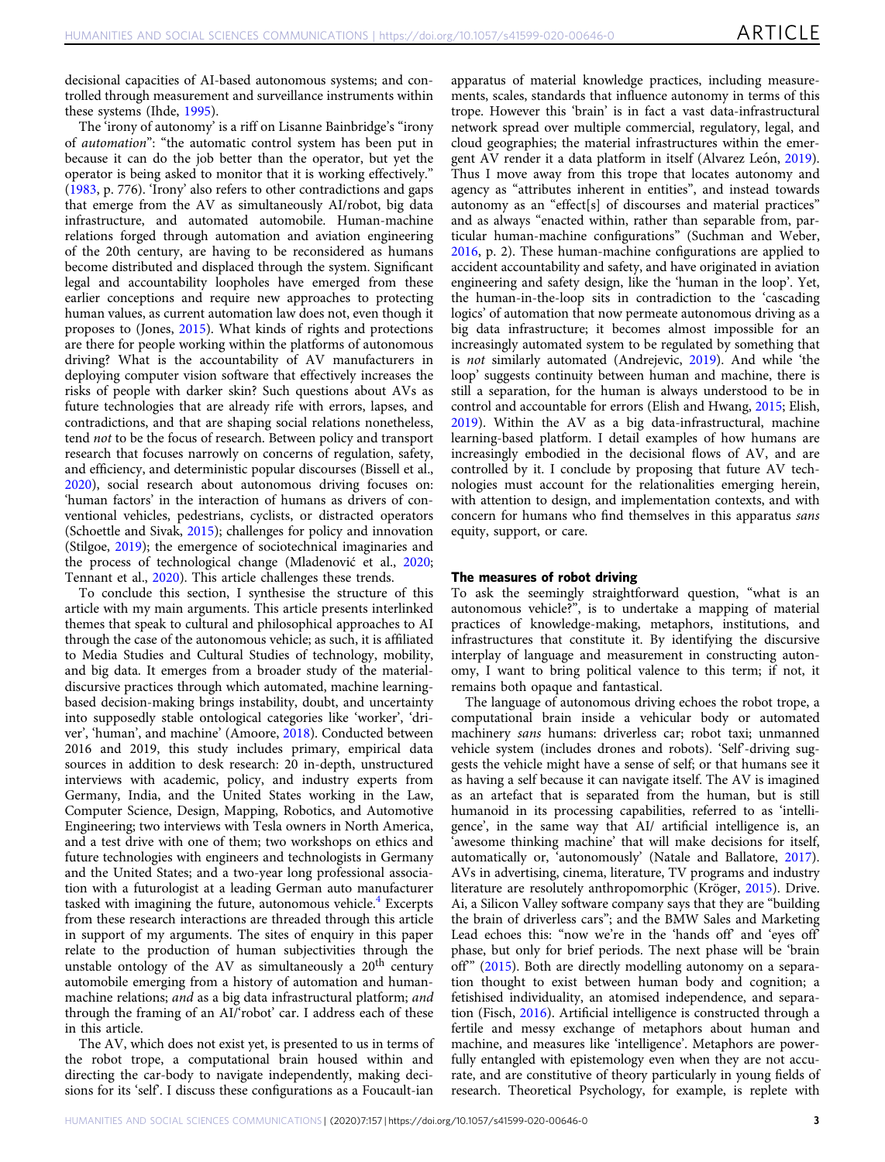decisional capacities of AI-based autonomous systems; and controlled through measurement and surveillance instruments within these systems (Ihde, [1995\)](#page-9-0).

The 'irony of autonomy' is a riff on Lisanne Bainbridge's "irony of automation": "the automatic control system has been put in because it can do the job better than the operator, but yet the operator is being asked to monitor that it is working effectively." ([1983,](#page-9-0) p. 776). 'Irony' also refers to other contradictions and gaps that emerge from the AV as simultaneously AI/robot, big data infrastructure, and automated automobile. Human-machine relations forged through automation and aviation engineering of the 20th century, are having to be reconsidered as humans become distributed and displaced through the system. Significant legal and accountability loopholes have emerged from these earlier conceptions and require new approaches to protecting human values, as current automation law does not, even though it proposes to (Jones, [2015\)](#page-9-0). What kinds of rights and protections are there for people working within the platforms of autonomous driving? What is the accountability of AV manufacturers in deploying computer vision software that effectively increases the risks of people with darker skin? Such questions about AVs as future technologies that are already rife with errors, lapses, and contradictions, and that are shaping social relations nonetheless, tend not to be the focus of research. Between policy and transport research that focuses narrowly on concerns of regulation, safety, and efficiency, and deterministic popular discourses (Bissell et al., [2020\)](#page-9-0), social research about autonomous driving focuses on: 'human factors' in the interaction of humans as drivers of conventional vehicles, pedestrians, cyclists, or distracted operators (Schoettle and Sivak, [2015](#page-10-0)); challenges for policy and innovation (Stilgoe, [2019\)](#page-10-0); the emergence of sociotechnical imaginaries and the process of technological change (Mladenović et al., [2020;](#page-9-0) Tennant et al., [2020\)](#page-10-0). This article challenges these trends.

To conclude this section, I synthesise the structure of this article with my main arguments. This article presents interlinked themes that speak to cultural and philosophical approaches to AI through the case of the autonomous vehicle; as such, it is affiliated to Media Studies and Cultural Studies of technology, mobility, and big data. It emerges from a broader study of the materialdiscursive practices through which automated, machine learningbased decision-making brings instability, doubt, and uncertainty into supposedly stable ontological categories like 'worker', 'driver', 'human', and machine' (Amoore, [2018\)](#page-8-0). Conducted between 2016 and 2019, this study includes primary, empirical data sources in addition to desk research: 20 in-depth, unstructured interviews with academic, policy, and industry experts from Germany, India, and the United States working in the Law, Computer Science, Design, Mapping, Robotics, and Automotive Engineering; two interviews with Tesla owners in North America, and a test drive with one of them; two workshops on ethics and future technologies with engineers and technologists in Germany and the United States; and a two-year long professional association with a futurologist at a leading German auto manufacturer tasked with imagining the future, autonomous vehicle. $4$  Excerpts from these research interactions are threaded through this article in support of my arguments. The sites of enquiry in this paper relate to the production of human subjectivities through the unstable ontology of the AV as simultaneously a 20<sup>th</sup> century automobile emerging from a history of automation and humanmachine relations; and as a big data infrastructural platform; and through the framing of an AI/'robot' car. I address each of these in this article.

The AV, which does not exist yet, is presented to us in terms of the robot trope, a computational brain housed within and directing the car-body to navigate independently, making decisions for its 'self'. I discuss these configurations as a Foucault-ian

apparatus of material knowledge practices, including measurements, scales, standards that influence autonomy in terms of this trope. However this 'brain' is in fact a vast data-infrastructural network spread over multiple commercial, regulatory, legal, and cloud geographies; the material infrastructures within the emer-gent AV render it a data platform in itself (Alvarez León, [2019](#page-8-0)). Thus I move away from this trope that locates autonomy and agency as "attributes inherent in entities", and instead towards autonomy as an "effect[s] of discourses and material practices" and as always "enacted within, rather than separable from, particular human-machine configurations" (Suchman and Weber, [2016,](#page-10-0) p. 2). These human-machine configurations are applied to accident accountability and safety, and have originated in aviation engineering and safety design, like the 'human in the loop'. Yet, the human-in-the-loop sits in contradiction to the 'cascading logics' of automation that now permeate autonomous driving as a big data infrastructure; it becomes almost impossible for an increasingly automated system to be regulated by something that is not similarly automated (Andrejevic, [2019\)](#page-8-0). And while 'the loop' suggests continuity between human and machine, there is still a separation, for the human is always understood to be in control and accountable for errors (Elish and Hwang, [2015](#page-9-0); Elish, [2019\)](#page-9-0). Within the AV as a big data-infrastructural, machine learning-based platform. I detail examples of how humans are increasingly embodied in the decisional flows of AV, and are controlled by it. I conclude by proposing that future AV technologies must account for the relationalities emerging herein, with attention to design, and implementation contexts, and with concern for humans who find themselves in this apparatus sans equity, support, or care.

#### The measures of robot driving

To ask the seemingly straightforward question, "what is an autonomous vehicle?", is to undertake a mapping of material practices of knowledge-making, metaphors, institutions, and infrastructures that constitute it. By identifying the discursive interplay of language and measurement in constructing autonomy, I want to bring political valence to this term; if not, it remains both opaque and fantastical.

The language of autonomous driving echoes the robot trope, a computational brain inside a vehicular body or automated machinery sans humans: driverless car; robot taxi; unmanned vehicle system (includes drones and robots). 'Self'-driving suggests the vehicle might have a sense of self; or that humans see it as having a self because it can navigate itself. The AV is imagined as an artefact that is separated from the human, but is still humanoid in its processing capabilities, referred to as 'intelligence', in the same way that AI/ artificial intelligence is, an 'awesome thinking machine' that will make decisions for itself, automatically or, 'autonomously' (Natale and Ballatore, [2017](#page-9-0)). AVs in advertising, cinema, literature, TV programs and industry literature are resolutely anthropomorphic (Kröger, [2015\)](#page-9-0). Drive. Ai, a Silicon Valley software company says that they are "building the brain of driverless cars"; and the BMW Sales and Marketing Lead echoes this: "now we're in the 'hands off' and 'eyes off' phase, but only for brief periods. The next phase will be 'brain off'" [\(2015](#page-9-0)). Both are directly modelling autonomy on a separation thought to exist between human body and cognition; a fetishised individuality, an atomised independence, and separation (Fisch, [2016\)](#page-9-0). Artificial intelligence is constructed through a fertile and messy exchange of metaphors about human and machine, and measures like 'intelligence'. Metaphors are powerfully entangled with epistemology even when they are not accurate, and are constitutive of theory particularly in young fields of research. Theoretical Psychology, for example, is replete with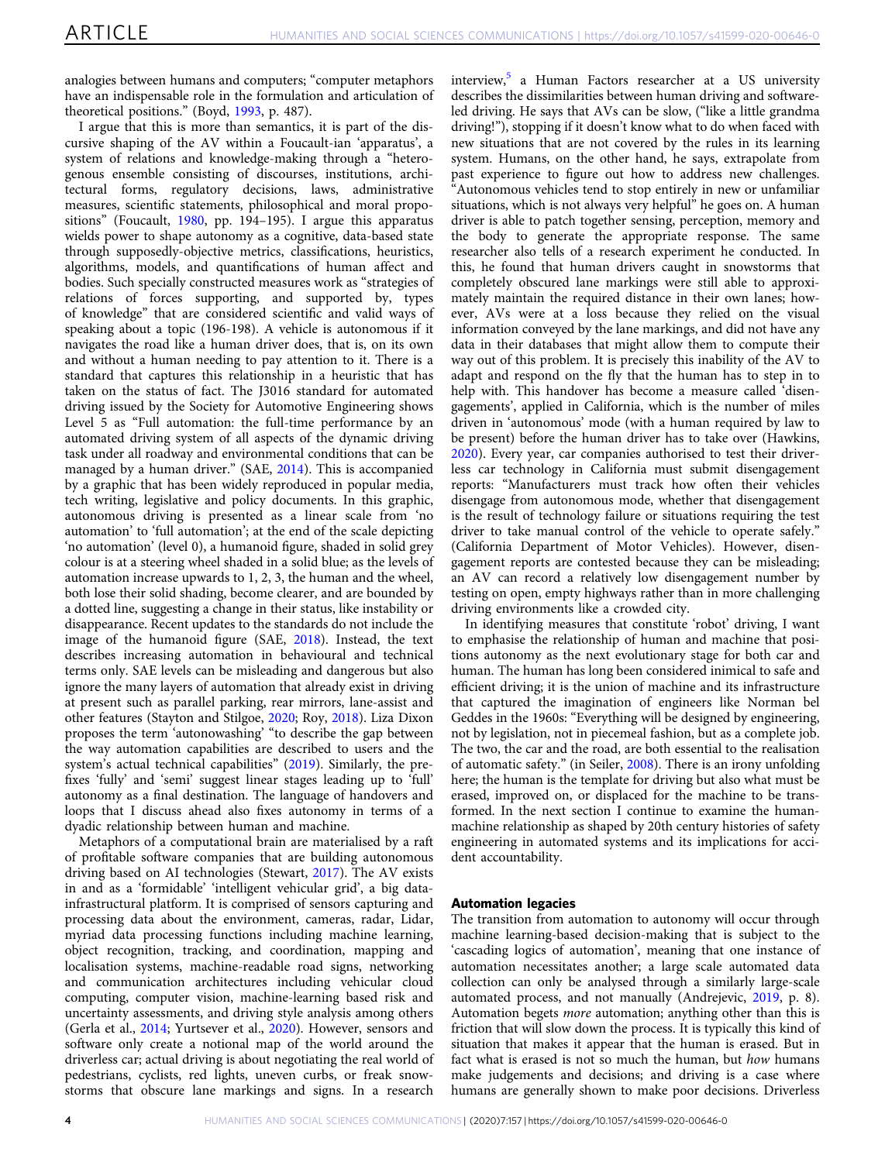analogies between humans and computers; "computer metaphors have an indispensable role in the formulation and articulation of theoretical positions." (Boyd, [1993,](#page-9-0) p. 487).

I argue that this is more than semantics, it is part of the discursive shaping of the AV within a Foucault-ian 'apparatus', a system of relations and knowledge-making through a "heterogenous ensemble consisting of discourses, institutions, architectural forms, regulatory decisions, laws, administrative measures, scientific statements, philosophical and moral propositions" (Foucault, [1980](#page-9-0), pp. 194–195). I argue this apparatus wields power to shape autonomy as a cognitive, data-based state through supposedly-objective metrics, classifications, heuristics, algorithms, models, and quantifications of human affect and bodies. Such specially constructed measures work as "strategies of relations of forces supporting, and supported by, types of knowledge" that are considered scientific and valid ways of speaking about a topic (196-198). A vehicle is autonomous if it navigates the road like a human driver does, that is, on its own and without a human needing to pay attention to it. There is a standard that captures this relationship in a heuristic that has taken on the status of fact. The J3016 standard for automated driving issued by the Society for Automotive Engineering shows Level 5 as "Full automation: the full-time performance by an automated driving system of all aspects of the dynamic driving task under all roadway and environmental conditions that can be managed by a human driver." (SAE, [2014](#page-10-0)). This is accompanied by a graphic that has been widely reproduced in popular media, tech writing, legislative and policy documents. In this graphic, autonomous driving is presented as a linear scale from 'no automation' to 'full automation'; at the end of the scale depicting 'no automation' (level 0), a humanoid figure, shaded in solid grey colour is at a steering wheel shaded in a solid blue; as the levels of automation increase upwards to 1, 2, 3, the human and the wheel, both lose their solid shading, become clearer, and are bounded by a dotted line, suggesting a change in their status, like instability or disappearance. Recent updates to the standards do not include the image of the humanoid figure (SAE, [2018\)](#page-10-0). Instead, the text describes increasing automation in behavioural and technical terms only. SAE levels can be misleading and dangerous but also ignore the many layers of automation that already exist in driving at present such as parallel parking, rear mirrors, lane-assist and other features (Stayton and Stilgoe, [2020;](#page-10-0) Roy, [2018](#page-10-0)). Liza Dixon proposes the term 'autonowashing' "to describe the gap between the way automation capabilities are described to users and the system's actual technical capabilities" [\(2019](#page-9-0)). Similarly, the prefixes 'fully' and 'semi' suggest linear stages leading up to 'full' autonomy as a final destination. The language of handovers and loops that I discuss ahead also fixes autonomy in terms of a dyadic relationship between human and machine.

Metaphors of a computational brain are materialised by a raft of profitable software companies that are building autonomous driving based on AI technologies (Stewart, [2017\)](#page-10-0). The AV exists in and as a 'formidable' 'intelligent vehicular grid', a big datainfrastructural platform. It is comprised of sensors capturing and processing data about the environment, cameras, radar, Lidar, myriad data processing functions including machine learning, object recognition, tracking, and coordination, mapping and localisation systems, machine-readable road signs, networking and communication architectures including vehicular cloud computing, computer vision, machine-learning based risk and uncertainty assessments, and driving style analysis among others (Gerla et al., [2014](#page-9-0); Yurtsever et al., [2020\)](#page-10-0). However, sensors and software only create a notional map of the world around the driverless car; actual driving is about negotiating the real world of pedestrians, cyclists, red lights, uneven curbs, or freak snowstorms that obscure lane markings and signs. In a research

interview,<sup>[5](#page-8-0)</sup> a Human Factors researcher at a US university describes the dissimilarities between human driving and softwareled driving. He says that AVs can be slow, ("like a little grandma driving!"), stopping if it doesn't know what to do when faced with new situations that are not covered by the rules in its learning system. Humans, on the other hand, he says, extrapolate from past experience to figure out how to address new challenges. "Autonomous vehicles tend to stop entirely in new or unfamiliar situations, which is not always very helpful" he goes on. A human driver is able to patch together sensing, perception, memory and the body to generate the appropriate response. The same researcher also tells of a research experiment he conducted. In this, he found that human drivers caught in snowstorms that completely obscured lane markings were still able to approximately maintain the required distance in their own lanes; however, AVs were at a loss because they relied on the visual information conveyed by the lane markings, and did not have any data in their databases that might allow them to compute their way out of this problem. It is precisely this inability of the AV to adapt and respond on the fly that the human has to step in to help with. This handover has become a measure called 'disengagements', applied in California, which is the number of miles driven in 'autonomous' mode (with a human required by law to be present) before the human driver has to take over (Hawkins, [2020\)](#page-9-0). Every year, car companies authorised to test their driverless car technology in California must submit disengagement reports: "Manufacturers must track how often their vehicles disengage from autonomous mode, whether that disengagement is the result of technology failure or situations requiring the test driver to take manual control of the vehicle to operate safely." (California Department of Motor Vehicles). However, disengagement reports are contested because they can be misleading; an AV can record a relatively low disengagement number by testing on open, empty highways rather than in more challenging driving environments like a crowded city.

In identifying measures that constitute 'robot' driving, I want to emphasise the relationship of human and machine that positions autonomy as the next evolutionary stage for both car and human. The human has long been considered inimical to safe and efficient driving; it is the union of machine and its infrastructure that captured the imagination of engineers like Norman bel Geddes in the 1960s: "Everything will be designed by engineering, not by legislation, not in piecemeal fashion, but as a complete job. The two, the car and the road, are both essential to the realisation of automatic safety." (in Seiler, [2008\)](#page-10-0). There is an irony unfolding here; the human is the template for driving but also what must be erased, improved on, or displaced for the machine to be transformed. In the next section I continue to examine the humanmachine relationship as shaped by 20th century histories of safety engineering in automated systems and its implications for accident accountability.

#### Automation legacies

The transition from automation to autonomy will occur through machine learning-based decision-making that is subject to the 'cascading logics of automation', meaning that one instance of automation necessitates another; a large scale automated data collection can only be analysed through a similarly large-scale automated process, and not manually (Andrejevic, [2019,](#page-8-0) p. 8). Automation begets more automation; anything other than this is friction that will slow down the process. It is typically this kind of situation that makes it appear that the human is erased. But in fact what is erased is not so much the human, but how humans make judgements and decisions; and driving is a case where humans are generally shown to make poor decisions. Driverless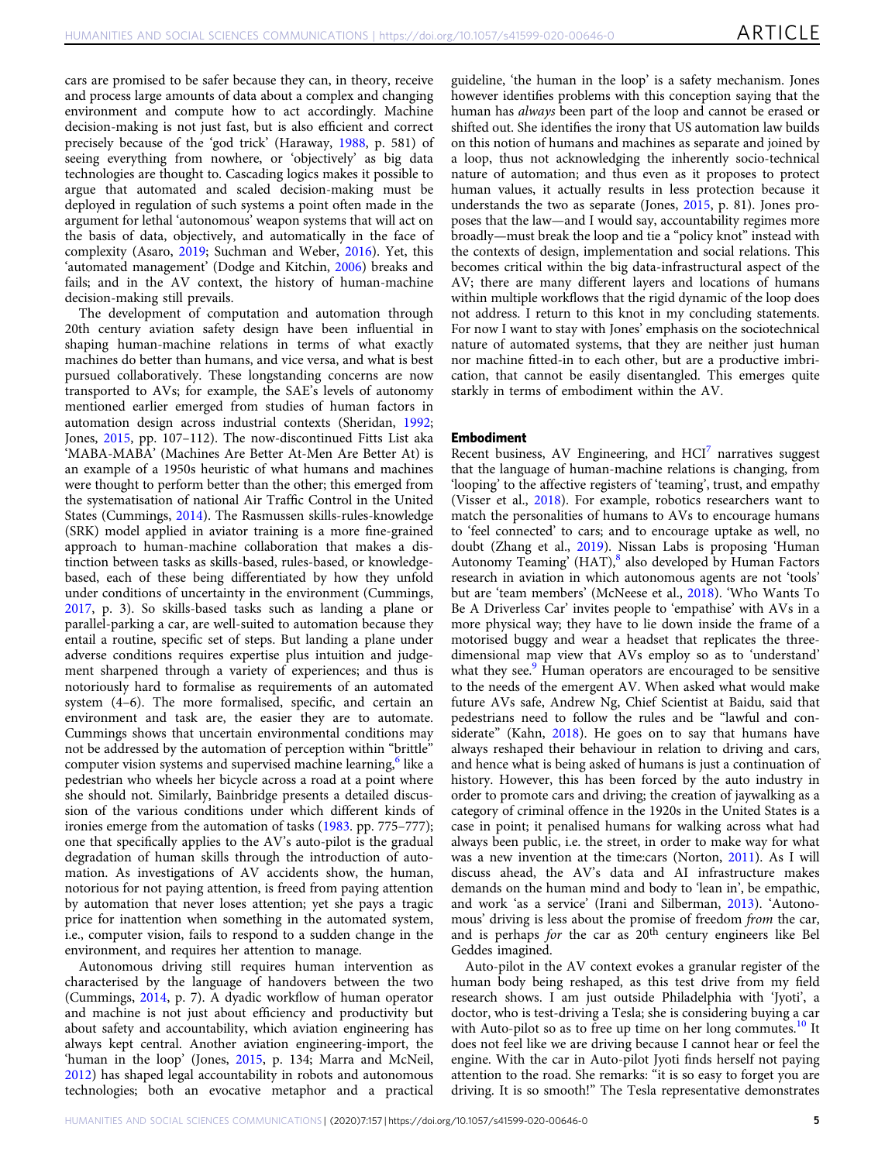cars are promised to be safer because they can, in theory, receive and process large amounts of data about a complex and changing environment and compute how to act accordingly. Machine decision-making is not just fast, but is also efficient and correct precisely because of the 'god trick' (Haraway, [1988](#page-9-0), p. 581) of seeing everything from nowhere, or 'objectively' as big data technologies are thought to. Cascading logics makes it possible to argue that automated and scaled decision-making must be deployed in regulation of such systems a point often made in the argument for lethal 'autonomous' weapon systems that will act on the basis of data, objectively, and automatically in the face of complexity (Asaro, [2019](#page-9-0); Suchman and Weber, [2016](#page-10-0)). Yet, this 'automated management' (Dodge and Kitchin, [2006](#page-9-0)) breaks and fails; and in the AV context, the history of human-machine decision-making still prevails.

The development of computation and automation through 20th century aviation safety design have been influential in shaping human-machine relations in terms of what exactly machines do better than humans, and vice versa, and what is best pursued collaboratively. These longstanding concerns are now transported to AVs; for example, the SAE's levels of autonomy mentioned earlier emerged from studies of human factors in automation design across industrial contexts (Sheridan, [1992;](#page-10-0) Jones, [2015,](#page-9-0) pp. 107–112). The now-discontinued Fitts List aka 'MABA-MABA' (Machines Are Better At-Men Are Better At) is an example of a 1950s heuristic of what humans and machines were thought to perform better than the other; this emerged from the systematisation of national Air Traffic Control in the United States (Cummings, [2014\)](#page-9-0). The Rasmussen skills-rules-knowledge (SRK) model applied in aviator training is a more fine-grained approach to human-machine collaboration that makes a distinction between tasks as skills-based, rules-based, or knowledgebased, each of these being differentiated by how they unfold under conditions of uncertainty in the environment (Cummings, [2017,](#page-9-0) p. 3). So skills-based tasks such as landing a plane or parallel-parking a car, are well-suited to automation because they entail a routine, specific set of steps. But landing a plane under adverse conditions requires expertise plus intuition and judgement sharpened through a variety of experiences; and thus is notoriously hard to formalise as requirements of an automated system (4–6). The more formalised, specific, and certain an environment and task are, the easier they are to automate. Cummings shows that uncertain environmental conditions may not be addressed by the automation of perception within "brittle" computer vision systems and supervised machine learning,<sup>[6](#page-8-0)</sup> like a pedestrian who wheels her bicycle across a road at a point where she should not. Similarly, Bainbridge presents a detailed discussion of the various conditions under which different kinds of ironies emerge from the automation of tasks [\(1983](#page-9-0). pp. 775–777); one that specifically applies to the AV's auto-pilot is the gradual degradation of human skills through the introduction of automation. As investigations of AV accidents show, the human, notorious for not paying attention, is freed from paying attention by automation that never loses attention; yet she pays a tragic price for inattention when something in the automated system, i.e., computer vision, fails to respond to a sudden change in the environment, and requires her attention to manage.

Autonomous driving still requires human intervention as characterised by the language of handovers between the two (Cummings, [2014](#page-9-0), p. 7). A dyadic workflow of human operator and machine is not just about efficiency and productivity but about safety and accountability, which aviation engineering has always kept central. Another aviation engineering-import, the 'human in the loop' (Jones, [2015,](#page-9-0) p. 134; Marra and McNeil, [2012\)](#page-9-0) has shaped legal accountability in robots and autonomous technologies; both an evocative metaphor and a practical

guideline, 'the human in the loop' is a safety mechanism. Jones however identifies problems with this conception saying that the human has always been part of the loop and cannot be erased or shifted out. She identifies the irony that US automation law builds on this notion of humans and machines as separate and joined by a loop, thus not acknowledging the inherently socio-technical nature of automation; and thus even as it proposes to protect human values, it actually results in less protection because it understands the two as separate (Jones, [2015](#page-9-0), p. 81). Jones proposes that the law—and I would say, accountability regimes more broadly—must break the loop and tie a "policy knot" instead with the contexts of design, implementation and social relations. This becomes critical within the big data-infrastructural aspect of the AV; there are many different layers and locations of humans within multiple workflows that the rigid dynamic of the loop does not address. I return to this knot in my concluding statements. For now I want to stay with Jones' emphasis on the sociotechnical nature of automated systems, that they are neither just human nor machine fitted-in to each other, but are a productive imbrication, that cannot be easily disentangled. This emerges quite starkly in terms of embodiment within the AV.

#### Embodiment

Recent business, AV Engineering, and  $HCI<sup>7</sup>$  $HCI<sup>7</sup>$  $HCI<sup>7</sup>$  narratives suggest that the language of human-machine relations is changing, from 'looping' to the affective registers of 'teaming', trust, and empathy (Visser et al., [2018\)](#page-10-0). For example, robotics researchers want to match the personalities of humans to AVs to encourage humans to 'feel connected' to cars; and to encourage uptake as well, no doubt (Zhang et al., [2019](#page-10-0)). Nissan Labs is proposing 'Human Autonomy Teaming' (HAT),<sup>[8](#page-8-0)</sup> also developed by Human Factors research in aviation in which autonomous agents are not 'tools' but are 'team members' (McNeese et al., [2018\)](#page-9-0). 'Who Wants To Be A Driverless Car' invites people to 'empathise' with AVs in a more physical way; they have to lie down inside the frame of a motorised buggy and wear a headset that replicates the threedimensional map view that AVs employ so as to 'understand' what they see.<sup>[9](#page-8-0)</sup> Human operators are encouraged to be sensitive to the needs of the emergent AV. When asked what would make future AVs safe, Andrew Ng, Chief Scientist at Baidu, said that pedestrians need to follow the rules and be "lawful and considerate" (Kahn, [2018\)](#page-9-0). He goes on to say that humans have always reshaped their behaviour in relation to driving and cars, and hence what is being asked of humans is just a continuation of history. However, this has been forced by the auto industry in order to promote cars and driving; the creation of jaywalking as a category of criminal offence in the 1920s in the United States is a case in point; it penalised humans for walking across what had always been public, i.e. the street, in order to make way for what was a new invention at the time:cars (Norton, [2011](#page-10-0)). As I will discuss ahead, the AV's data and AI infrastructure makes demands on the human mind and body to 'lean in', be empathic, and work 'as a service' (Irani and Silberman, [2013\)](#page-9-0). 'Autonomous' driving is less about the promise of freedom from the car, and is perhaps for the car as 20<sup>th</sup> century engineers like Bel Geddes imagined.

Auto-pilot in the AV context evokes a granular register of the human body being reshaped, as this test drive from my field research shows. I am just outside Philadelphia with 'Jyoti', a doctor, who is test-driving a Tesla; she is considering buying a car with Auto-pilot so as to free up time on her long commutes.<sup>[10](#page-8-0)</sup> It does not feel like we are driving because I cannot hear or feel the engine. With the car in Auto-pilot Jyoti finds herself not paying attention to the road. She remarks: "it is so easy to forget you are driving. It is so smooth!" The Tesla representative demonstrates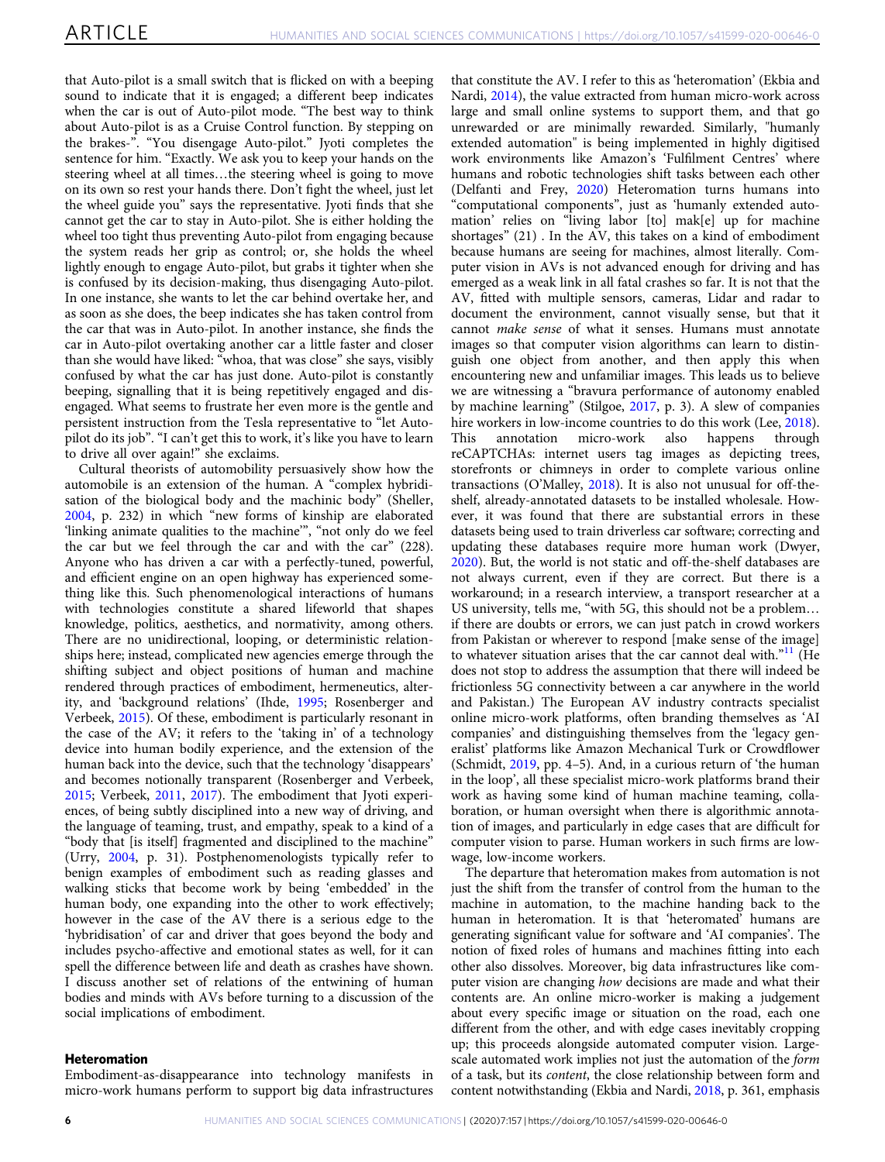that Auto-pilot is a small switch that is flicked on with a beeping sound to indicate that it is engaged; a different beep indicates when the car is out of Auto-pilot mode. "The best way to think about Auto-pilot is as a Cruise Control function. By stepping on the brakes-". "You disengage Auto-pilot." Jyoti completes the sentence for him. "Exactly. We ask you to keep your hands on the steering wheel at all times…the steering wheel is going to move on its own so rest your hands there. Don't fight the wheel, just let the wheel guide you" says the representative. Jyoti finds that she cannot get the car to stay in Auto-pilot. She is either holding the wheel too tight thus preventing Auto-pilot from engaging because the system reads her grip as control; or, she holds the wheel lightly enough to engage Auto-pilot, but grabs it tighter when she is confused by its decision-making, thus disengaging Auto-pilot. In one instance, she wants to let the car behind overtake her, and as soon as she does, the beep indicates she has taken control from the car that was in Auto-pilot. In another instance, she finds the car in Auto-pilot overtaking another car a little faster and closer than she would have liked: "whoa, that was close" she says, visibly confused by what the car has just done. Auto-pilot is constantly beeping, signalling that it is being repetitively engaged and disengaged. What seems to frustrate her even more is the gentle and persistent instruction from the Tesla representative to "let Autopilot do its job". "I can't get this to work, it's like you have to learn to drive all over again!" she exclaims.

Cultural theorists of automobility persuasively show how the automobile is an extension of the human. A "complex hybridisation of the biological body and the machinic body" (Sheller, [2004,](#page-10-0) p. 232) in which "new forms of kinship are elaborated 'linking animate qualities to the machine'", "not only do we feel the car but we feel through the car and with the car" (228). Anyone who has driven a car with a perfectly-tuned, powerful, and efficient engine on an open highway has experienced something like this. Such phenomenological interactions of humans with technologies constitute a shared lifeworld that shapes knowledge, politics, aesthetics, and normativity, among others. There are no unidirectional, looping, or deterministic relationships here; instead, complicated new agencies emerge through the shifting subject and object positions of human and machine rendered through practices of embodiment, hermeneutics, alterity, and 'background relations' (Ihde, [1995;](#page-9-0) Rosenberger and Verbeek, [2015\)](#page-10-0). Of these, embodiment is particularly resonant in the case of the AV; it refers to the 'taking in' of a technology device into human bodily experience, and the extension of the human back into the device, such that the technology 'disappears' and becomes notionally transparent (Rosenberger and Verbeek, [2015;](#page-10-0) Verbeek, [2011,](#page-10-0) [2017](#page-10-0)). The embodiment that Jyoti experiences, of being subtly disciplined into a new way of driving, and the language of teaming, trust, and empathy, speak to a kind of a "body that [is itself] fragmented and disciplined to the machine" (Urry, [2004,](#page-10-0) p. 31). Postphenomenologists typically refer to benign examples of embodiment such as reading glasses and walking sticks that become work by being 'embedded' in the human body, one expanding into the other to work effectively; however in the case of the AV there is a serious edge to the 'hybridisation' of car and driver that goes beyond the body and includes psycho-affective and emotional states as well, for it can spell the difference between life and death as crashes have shown. I discuss another set of relations of the entwining of human bodies and minds with AVs before turning to a discussion of the social implications of embodiment.

#### Heteromation

Embodiment-as-disappearance into technology manifests in micro-work humans perform to support big data infrastructures

that constitute the AV. I refer to this as 'heteromation' (Ekbia and Nardi, [2014](#page-9-0)), the value extracted from human micro-work across large and small online systems to support them, and that go unrewarded or are minimally rewarded. Similarly, "humanly extended automation" is being implemented in highly digitised work environments like Amazon's 'Fulfilment Centres' where humans and robotic technologies shift tasks between each other (Delfanti and Frey, [2020](#page-9-0)) Heteromation turns humans into "computational components", just as 'humanly extended automation' relies on "living labor [to] mak[e] up for machine shortages" (21) . In the AV, this takes on a kind of embodiment because humans are seeing for machines, almost literally. Computer vision in AVs is not advanced enough for driving and has emerged as a weak link in all fatal crashes so far. It is not that the AV, fitted with multiple sensors, cameras, Lidar and radar to document the environment, cannot visually sense, but that it cannot make sense of what it senses. Humans must annotate images so that computer vision algorithms can learn to distinguish one object from another, and then apply this when encountering new and unfamiliar images. This leads us to believe we are witnessing a "bravura performance of autonomy enabled by machine learning" (Stilgoe, [2017,](#page-10-0) p. 3). A slew of companies hire workers in low-income countries to do this work (Lee, [2018](#page-9-0)).<br>This annotation micro-work also happens through micro-work also happens through reCAPTCHAs: internet users tag images as depicting trees, storefronts or chimneys in order to complete various online transactions (O'Malley, [2018](#page-10-0)). It is also not unusual for off-theshelf, already-annotated datasets to be installed wholesale. However, it was found that there are substantial errors in these datasets being used to train driverless car software; correcting and updating these databases require more human work (Dwyer, [2020\)](#page-9-0). But, the world is not static and off-the-shelf databases are not always current, even if they are correct. But there is a workaround; in a research interview, a transport researcher at a US university, tells me, "with 5G, this should not be a problem… if there are doubts or errors, we can just patch in crowd workers from Pakistan or wherever to respond [make sense of the image] to whatever situation arises that the car cannot deal with."<sup>[11](#page-8-0)</sup> (He does not stop to address the assumption that there will indeed be frictionless 5G connectivity between a car anywhere in the world and Pakistan.) The European AV industry contracts specialist online micro-work platforms, often branding themselves as 'AI companies' and distinguishing themselves from the 'legacy generalist' platforms like Amazon Mechanical Turk or Crowdflower (Schmidt, [2019](#page-10-0), pp. 4–5). And, in a curious return of 'the human in the loop', all these specialist micro-work platforms brand their work as having some kind of human machine teaming, collaboration, or human oversight when there is algorithmic annotation of images, and particularly in edge cases that are difficult for computer vision to parse. Human workers in such firms are lowwage, low-income workers.

The departure that heteromation makes from automation is not just the shift from the transfer of control from the human to the machine in automation, to the machine handing back to the human in heteromation. It is that 'heteromated' humans are generating significant value for software and 'AI companies'. The notion of fixed roles of humans and machines fitting into each other also dissolves. Moreover, big data infrastructures like computer vision are changing how decisions are made and what their contents are. An online micro-worker is making a judgement about every specific image or situation on the road, each one different from the other, and with edge cases inevitably cropping up; this proceeds alongside automated computer vision. Largescale automated work implies not just the automation of the form of a task, but its content, the close relationship between form and content notwithstanding (Ekbia and Nardi, [2018](#page-9-0), p. 361, emphasis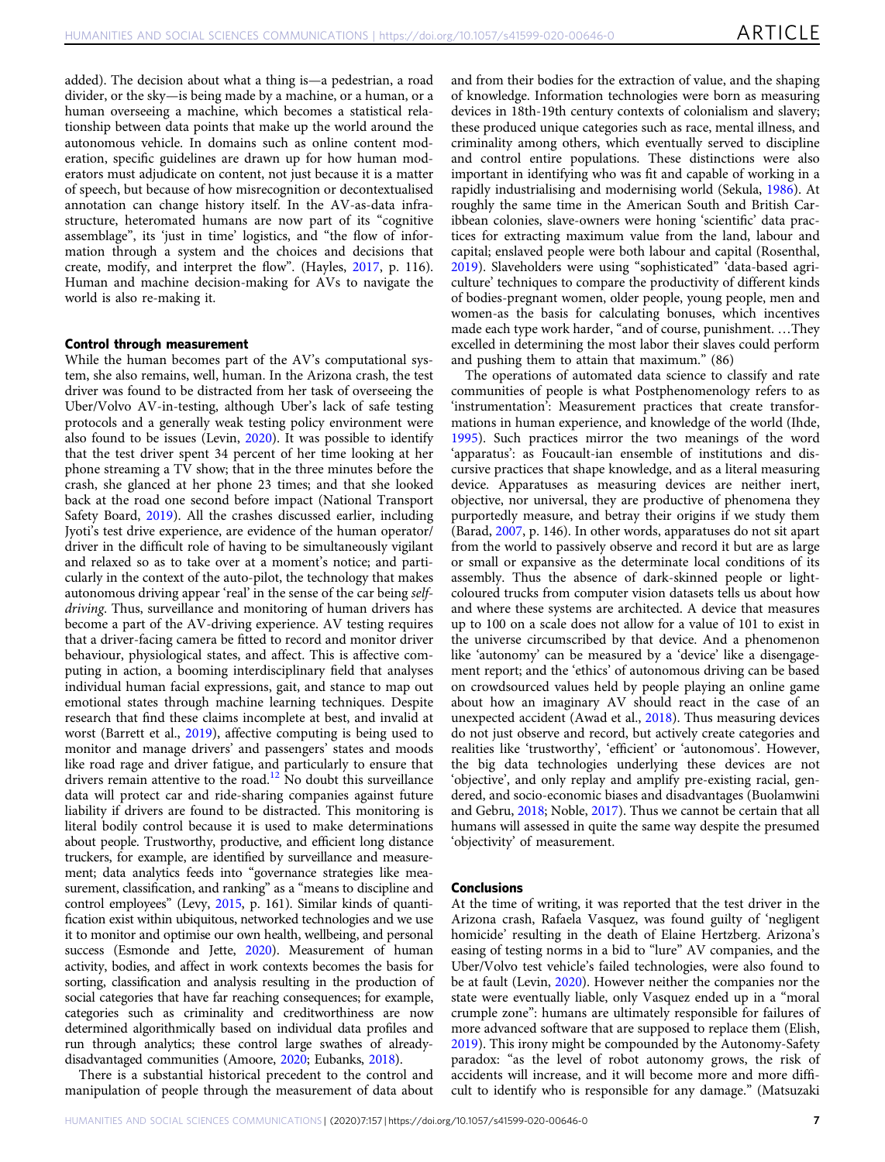added). The decision about what a thing is—a pedestrian, a road divider, or the sky—is being made by a machine, or a human, or a human overseeing a machine, which becomes a statistical relationship between data points that make up the world around the autonomous vehicle. In domains such as online content moderation, specific guidelines are drawn up for how human moderators must adjudicate on content, not just because it is a matter of speech, but because of how misrecognition or decontextualised annotation can change history itself. In the AV-as-data infrastructure, heteromated humans are now part of its "cognitive assemblage", its 'just in time' logistics, and "the flow of information through a system and the choices and decisions that create, modify, and interpret the flow". (Hayles, [2017](#page-9-0), p. 116). Human and machine decision-making for AVs to navigate the world is also re-making it.

#### Control through measurement

While the human becomes part of the AV's computational system, she also remains, well, human. In the Arizona crash, the test driver was found to be distracted from her task of overseeing the Uber/Volvo AV-in-testing, although Uber's lack of safe testing protocols and a generally weak testing policy environment were also found to be issues (Levin, [2020](#page-9-0)). It was possible to identify that the test driver spent 34 percent of her time looking at her phone streaming a TV show; that in the three minutes before the crash, she glanced at her phone 23 times; and that she looked back at the road one second before impact (National Transport Safety Board, [2019\)](#page-9-0). All the crashes discussed earlier, including Jyoti's test drive experience, are evidence of the human operator/ driver in the difficult role of having to be simultaneously vigilant and relaxed so as to take over at a moment's notice; and particularly in the context of the auto-pilot, the technology that makes autonomous driving appear 'real' in the sense of the car being selfdriving. Thus, surveillance and monitoring of human drivers has become a part of the AV-driving experience. AV testing requires that a driver-facing camera be fitted to record and monitor driver behaviour, physiological states, and affect. This is affective computing in action, a booming interdisciplinary field that analyses individual human facial expressions, gait, and stance to map out emotional states through machine learning techniques. Despite research that find these claims incomplete at best, and invalid at worst (Barrett et al., [2019\)](#page-9-0), affective computing is being used to monitor and manage drivers' and passengers' states and moods like road rage and driver fatigue, and particularly to ensure that drivers remain attentive to the road.<sup>[12](#page-8-0)</sup> No doubt this surveillance data will protect car and ride-sharing companies against future liability if drivers are found to be distracted. This monitoring is literal bodily control because it is used to make determinations about people. Trustworthy, productive, and efficient long distance truckers, for example, are identified by surveillance and measurement; data analytics feeds into "governance strategies like measurement, classification, and ranking" as a "means to discipline and control employees" (Levy, [2015,](#page-9-0) p. 161). Similar kinds of quantification exist within ubiquitous, networked technologies and we use it to monitor and optimise our own health, wellbeing, and personal success (Esmonde and Jette, [2020\)](#page-9-0). Measurement of human activity, bodies, and affect in work contexts becomes the basis for sorting, classification and analysis resulting in the production of social categories that have far reaching consequences; for example, categories such as criminality and creditworthiness are now determined algorithmically based on individual data profiles and run through analytics; these control large swathes of alreadydisadvantaged communities (Amoore, [2020](#page-8-0); Eubanks, [2018\)](#page-9-0).

There is a substantial historical precedent to the control and manipulation of people through the measurement of data about and from their bodies for the extraction of value, and the shaping of knowledge. Information technologies were born as measuring devices in 18th-19th century contexts of colonialism and slavery; these produced unique categories such as race, mental illness, and criminality among others, which eventually served to discipline and control entire populations. These distinctions were also important in identifying who was fit and capable of working in a rapidly industrialising and modernising world (Sekula, [1986\)](#page-10-0). At roughly the same time in the American South and British Caribbean colonies, slave-owners were honing 'scientific' data practices for extracting maximum value from the land, labour and capital; enslaved people were both labour and capital (Rosenthal, [2019\)](#page-10-0). Slaveholders were using "sophisticated" 'data-based agriculture' techniques to compare the productivity of different kinds of bodies-pregnant women, older people, young people, men and women-as the basis for calculating bonuses, which incentives made each type work harder, "and of course, punishment. …They excelled in determining the most labor their slaves could perform and pushing them to attain that maximum." (86)

The operations of automated data science to classify and rate communities of people is what Postphenomenology refers to as 'instrumentation': Measurement practices that create transformations in human experience, and knowledge of the world (Ihde, [1995\)](#page-9-0). Such practices mirror the two meanings of the word 'apparatus': as Foucault-ian ensemble of institutions and discursive practices that shape knowledge, and as a literal measuring device. Apparatuses as measuring devices are neither inert, objective, nor universal, they are productive of phenomena they purportedly measure, and betray their origins if we study them (Barad, [2007,](#page-9-0) p. 146). In other words, apparatuses do not sit apart from the world to passively observe and record it but are as large or small or expansive as the determinate local conditions of its assembly. Thus the absence of dark-skinned people or lightcoloured trucks from computer vision datasets tells us about how and where these systems are architected. A device that measures up to 100 on a scale does not allow for a value of 101 to exist in the universe circumscribed by that device. And a phenomenon like 'autonomy' can be measured by a 'device' like a disengagement report; and the 'ethics' of autonomous driving can be based on crowdsourced values held by people playing an online game about how an imaginary AV should react in the case of an unexpected accident (Awad et al., [2018](#page-9-0)). Thus measuring devices do not just observe and record, but actively create categories and realities like 'trustworthy', 'efficient' or 'autonomous'. However, the big data technologies underlying these devices are not 'objective', and only replay and amplify pre-existing racial, gendered, and socio-economic biases and disadvantages (Buolamwini and Gebru, [2018](#page-9-0); Noble, [2017](#page-9-0)). Thus we cannot be certain that all humans will assessed in quite the same way despite the presumed 'objectivity' of measurement.

#### Conclusions

At the time of writing, it was reported that the test driver in the Arizona crash, Rafaela Vasquez, was found guilty of 'negligent homicide' resulting in the death of Elaine Hertzberg. Arizona's easing of testing norms in a bid to "lure" AV companies, and the Uber/Volvo test vehicle's failed technologies, were also found to be at fault (Levin, [2020\)](#page-9-0). However neither the companies nor the state were eventually liable, only Vasquez ended up in a "moral crumple zone": humans are ultimately responsible for failures of more advanced software that are supposed to replace them (Elish, [2019\)](#page-9-0). This irony might be compounded by the Autonomy-Safety paradox: "as the level of robot autonomy grows, the risk of accidents will increase, and it will become more and more difficult to identify who is responsible for any damage." (Matsuzaki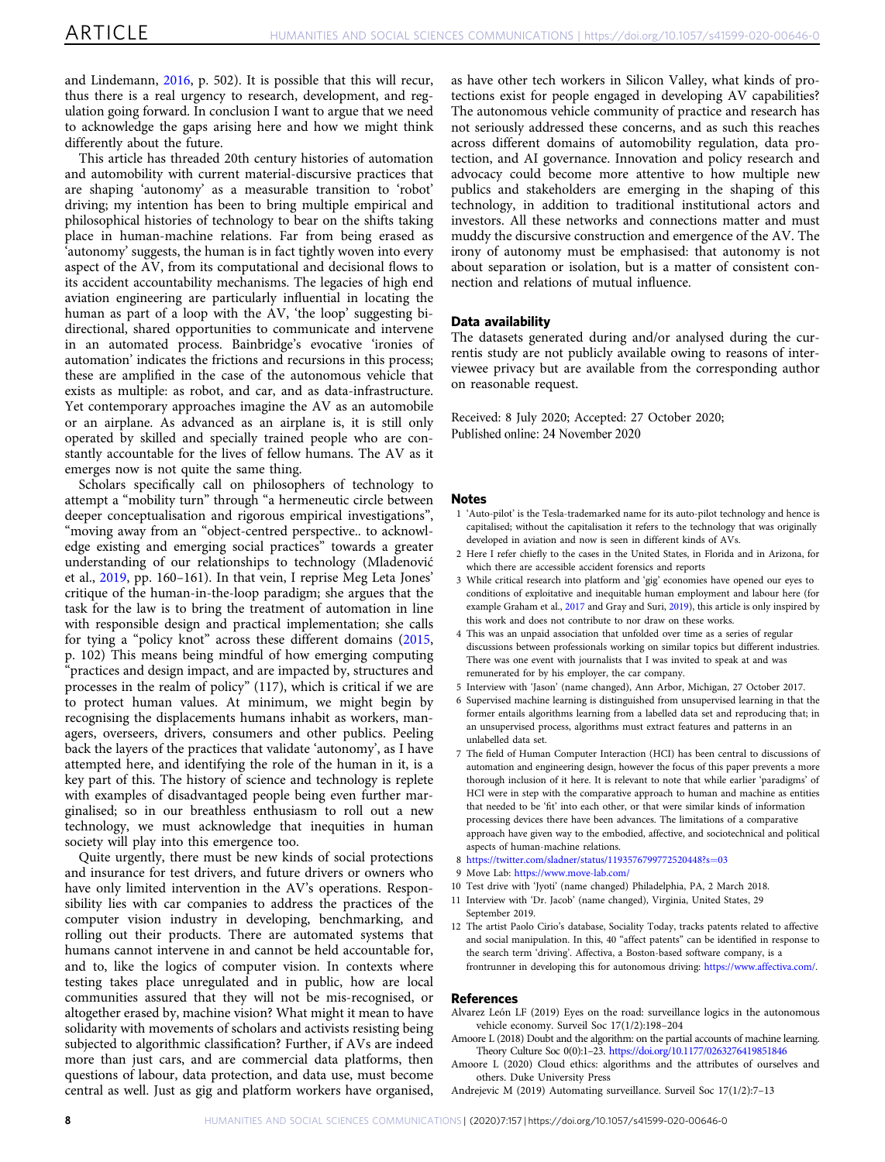<span id="page-8-0"></span>and Lindemann, [2016](#page-9-0), p. 502). It is possible that this will recur, thus there is a real urgency to research, development, and regulation going forward. In conclusion I want to argue that we need to acknowledge the gaps arising here and how we might think differently about the future.

This article has threaded 20th century histories of automation and automobility with current material-discursive practices that are shaping 'autonomy' as a measurable transition to 'robot' driving; my intention has been to bring multiple empirical and philosophical histories of technology to bear on the shifts taking place in human-machine relations. Far from being erased as 'autonomy' suggests, the human is in fact tightly woven into every aspect of the AV, from its computational and decisional flows to its accident accountability mechanisms. The legacies of high end aviation engineering are particularly influential in locating the human as part of a loop with the AV, 'the loop' suggesting bidirectional, shared opportunities to communicate and intervene in an automated process. Bainbridge's evocative 'ironies of automation' indicates the frictions and recursions in this process; these are amplified in the case of the autonomous vehicle that exists as multiple: as robot, and car, and as data-infrastructure. Yet contemporary approaches imagine the AV as an automobile or an airplane. As advanced as an airplane is, it is still only operated by skilled and specially trained people who are constantly accountable for the lives of fellow humans. The AV as it emerges now is not quite the same thing.

Scholars specifically call on philosophers of technology to attempt a "mobility turn" through "a hermeneutic circle between deeper conceptualisation and rigorous empirical investigations", "moving away from an "object-centred perspective.. to acknowledge existing and emerging social practices" towards a greater understanding of our relationships to technology (Mladenović et al., [2019](#page-9-0), pp. 160–161). In that vein, I reprise Meg Leta Jones' critique of the human-in-the-loop paradigm; she argues that the task for the law is to bring the treatment of automation in line with responsible design and practical implementation; she calls for tying a "policy knot" across these different domains [\(2015,](#page-9-0) p. 102) This means being mindful of how emerging computing "practices and design impact, and are impacted by, structures and processes in the realm of policy" (117), which is critical if we are to protect human values. At minimum, we might begin by recognising the displacements humans inhabit as workers, managers, overseers, drivers, consumers and other publics. Peeling back the layers of the practices that validate 'autonomy', as I have attempted here, and identifying the role of the human in it, is a key part of this. The history of science and technology is replete with examples of disadvantaged people being even further marginalised; so in our breathless enthusiasm to roll out a new technology, we must acknowledge that inequities in human society will play into this emergence too.

Quite urgently, there must be new kinds of social protections and insurance for test drivers, and future drivers or owners who have only limited intervention in the AV's operations. Responsibility lies with car companies to address the practices of the computer vision industry in developing, benchmarking, and rolling out their products. There are automated systems that humans cannot intervene in and cannot be held accountable for, and to, like the logics of computer vision. In contexts where testing takes place unregulated and in public, how are local communities assured that they will not be mis-recognised, or altogether erased by, machine vision? What might it mean to have solidarity with movements of scholars and activists resisting being subjected to algorithmic classification? Further, if AVs are indeed more than just cars, and are commercial data platforms, then questions of labour, data protection, and data use, must become central as well. Just as gig and platform workers have organised,

as have other tech workers in Silicon Valley, what kinds of protections exist for people engaged in developing AV capabilities? The autonomous vehicle community of practice and research has not seriously addressed these concerns, and as such this reaches across different domains of automobility regulation, data protection, and AI governance. Innovation and policy research and advocacy could become more attentive to how multiple new publics and stakeholders are emerging in the shaping of this technology, in addition to traditional institutional actors and investors. All these networks and connections matter and must muddy the discursive construction and emergence of the AV. The irony of autonomy must be emphasised: that autonomy is not about separation or isolation, but is a matter of consistent connection and relations of mutual influence.

#### Data availability

The datasets generated during and/or analysed during the currentis study are not publicly available owing to reasons of interviewee privacy but are available from the corresponding author on reasonable request.

Received: 8 July 2020; Accepted: 27 October 2020; Published online: 24 November 2020

#### Notes

- 1 'Auto-pilot' is the Tesla-trademarked name for its auto-pilot technology and hence is capitalised; without the capitalisation it refers to the technology that was originally developed in aviation and now is seen in different kinds of AVs.
- 2 Here I refer chiefly to the cases in the United States, in Florida and in Arizona, for which there are accessible accident forensics and reports
- 3 While critical research into platform and 'gig' economies have opened our eyes to conditions of exploitative and inequitable human employment and labour here (for example Graham et al., [2017](#page-9-0) and Gray and Suri, [2019\)](#page-9-0), this article is only inspired by this work and does not contribute to nor draw on these works.
- 4 This was an unpaid association that unfolded over time as a series of regular discussions between professionals working on similar topics but different industries. There was one event with journalists that I was invited to speak at and was remunerated for by his employer, the car company.
- 5 Interview with 'Jason' (name changed), Ann Arbor, Michigan, 27 October 2017.
- 6 Supervised machine learning is distinguished from unsupervised learning in that the former entails algorithms learning from a labelled data set and reproducing that; in an unsupervised process, algorithms must extract features and patterns in an unlabelled data set.
- 7 The field of Human Computer Interaction (HCI) has been central to discussions of automation and engineering design, however the focus of this paper prevents a more thorough inclusion of it here. It is relevant to note that while earlier 'paradigms' of HCI were in step with the comparative approach to human and machine as entities that needed to be 'fit' into each other, or that were similar kinds of information processing devices there have been advances. The limitations of a comparative approach have given way to the embodied, affective, and sociotechnical and political aspects of human-machine relations.
- 8 [https://twitter.com/sladner/status/1193576799772520448?s](https://twitter.com/sladner/status/1193576799772520448?s=03)=03
- 9 Move Lab: <https://www.move-lab.com/>
- 10 Test drive with 'Jyoti' (name changed) Philadelphia, PA, 2 March 2018.
- 11 Interview with 'Dr. Jacob' (name changed), Virginia, United States, 29 September 2019.
- 12 The artist Paolo Cirio's database, Sociality Today, tracks patents related to affective and social manipulation. In this, 40 "affect patents" can be identified in response to the search term 'driving'. Affectiva, a Boston-based software company, is a frontrunner in developing this for autonomous driving: [https://www.affectiva.com/.](https://www.affectiva.com/)

#### **References**

- Alvarez León LF (2019) Eyes on the road: surveillance logics in the autonomous vehicle economy. Surveil Soc 17(1/2):198–204
- Amoore L (2018) Doubt and the algorithm: on the partial accounts of machine learning. Theory Culture Soc 0(0):1–23. <https://doi.org/10.1177/0263276419851846>
- Amoore L (2020) Cloud ethics: algorithms and the attributes of ourselves and others. Duke University Press
- Andrejevic M (2019) Automating surveillance. Surveil Soc 17(1/2):7–13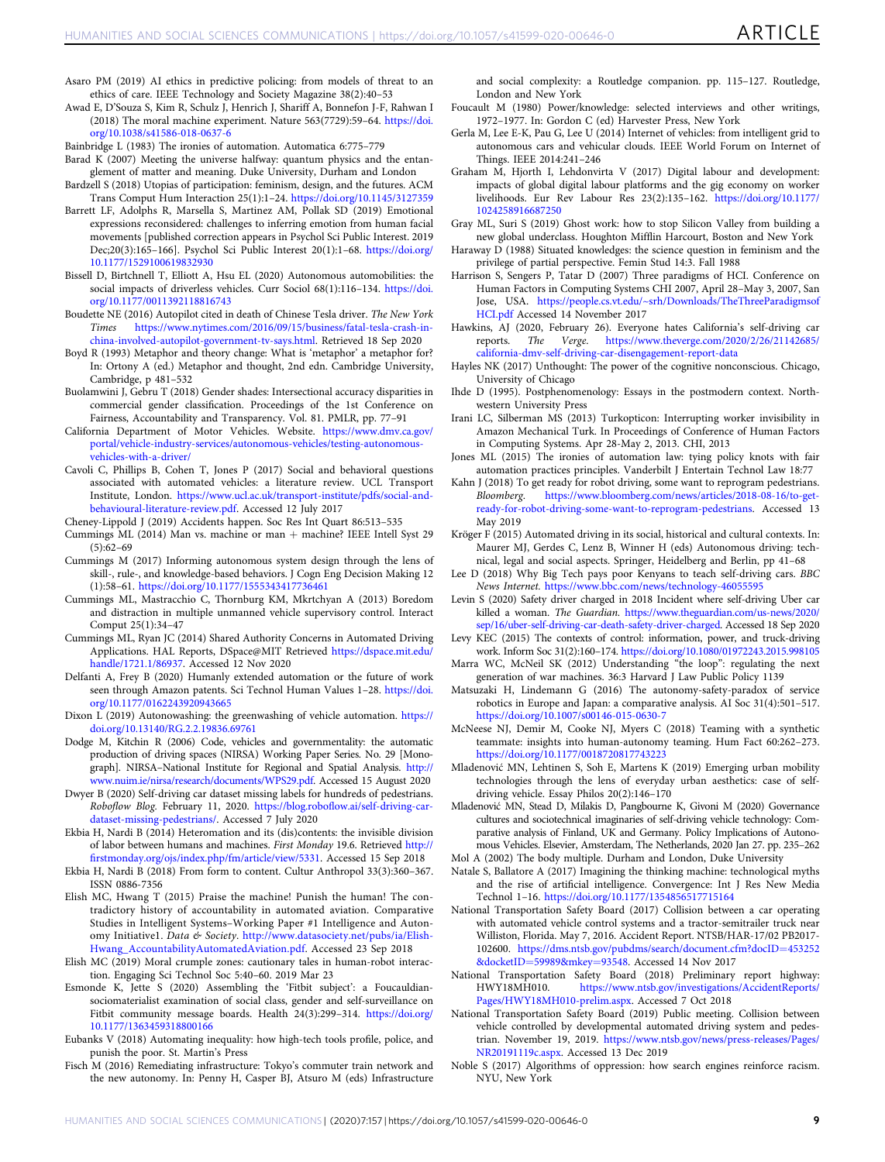- <span id="page-9-0"></span>Asaro PM (2019) AI ethics in predictive policing: from models of threat to an ethics of care. IEEE Technology and Society Magazine 38(2):40–53
- Awad E, D'Souza S, Kim R, Schulz J, Henrich J, Shariff A, Bonnefon J-F, Rahwan I (2018) The moral machine experiment. Nature 563(7729):59–64. [https://doi.](https://doi.org/10.1038/s41586-018-0637-6) [org/10.1038/s41586-018-0637-6](https://doi.org/10.1038/s41586-018-0637-6)
- Bainbridge L (1983) The ironies of automation. Automatica 6:775–779

Barad K  $(2007)$  Meeting the universe halfway: quantum physics and the entanglement of matter and meaning. Duke University, Durham and London

Bardzell S (2018) Utopias of participation: feminism, design, and the futures. ACM Trans Comput Hum Interaction 25(1):1–24. <https://doi.org/10.1145/3127359>

- Barrett LF, Adolphs R, Marsella S, Martinez AM, Pollak SD (2019) Emotional expressions reconsidered: challenges to inferring emotion from human facial movements [published correction appears in Psychol Sci Public Interest. 2019 Dec;20(3):165–166]. Psychol Sci Public Interest 20(1):1–68. [https://doi.org/](https://doi.org/10.1177/1529100619832930) [10.1177/1529100619832930](https://doi.org/10.1177/1529100619832930)
- Bissell D, Birtchnell T, Elliott A, Hsu EL (2020) Autonomous automobilities: the social impacts of driverless vehicles. Curr Sociol 68(1):116–134. [https://doi.](https://doi.org/10.1177/0011392118816743) [org/10.1177/0011392118816743](https://doi.org/10.1177/0011392118816743)
- Boudette NE (2016) Autopilot cited in death of Chinese Tesla driver. The New York [https://www.nytimes.com/2016/09/15/business/fatal-tesla-crash-in](https://www.nytimes.com/2016/09/15/business/fatal-tesla-crash-in-china-involved-autopilot-government-tv-says.html)[china-involved-autopilot-government-tv-says.html](https://www.nytimes.com/2016/09/15/business/fatal-tesla-crash-in-china-involved-autopilot-government-tv-says.html). Retrieved 18 Sep 2020
- Boyd R (1993) Metaphor and theory change: What is 'metaphor' a metaphor for? In: Ortony A (ed.) Metaphor and thought, 2nd edn. Cambridge University, Cambridge, p 481–532
- Buolamwini J, Gebru T (2018) Gender shades: Intersectional accuracy disparities in commercial gender classification. Proceedings of the 1st Conference on Fairness, Accountability and Transparency. Vol. 81. PMLR, pp. 77–91
- California Department of Motor Vehicles. Website. [https://www.dmv.ca.gov/](https://www.dmv.ca.gov/portal/vehicle-industry-services/autonomous-vehicles/testing-autonomous-vehicles-with-a-driver/) [portal/vehicle-industry-services/autonomous-vehicles/testing-autonomous](https://www.dmv.ca.gov/portal/vehicle-industry-services/autonomous-vehicles/testing-autonomous-vehicles-with-a-driver/)[vehicles-with-a-driver/](https://www.dmv.ca.gov/portal/vehicle-industry-services/autonomous-vehicles/testing-autonomous-vehicles-with-a-driver/)
- Cavoli C, Phillips B, Cohen T, Jones P (2017) Social and behavioral questions associated with automated vehicles: a literature review. UCL Transport Institute, London. [https://www.ucl.ac.uk/transport-institute/pdfs/social-and](https://www.ucl.ac.uk/transport-institute/pdfs/social-and-behavioural-literature-review.pdf)[behavioural-literature-review.pdf](https://www.ucl.ac.uk/transport-institute/pdfs/social-and-behavioural-literature-review.pdf). Accessed 12 July 2017

Cheney-Lippold J (2019) Accidents happen. Soc Res Int Quart 86:513–535

- Cummings ML (2014) Man vs. machine or man + machine? IEEE Intell Syst 29  $(5):62-69$
- Cummings M (2017) Informing autonomous system design through the lens of skill-, rule-, and knowledge-based behaviors. J Cogn Eng Decision Making 12 (1):58–61. <https://doi.org/10.1177/1555343417736461>
- Cummings ML, Mastracchio C, Thornburg KM, Mkrtchyan A (2013) Boredom and distraction in multiple unmanned vehicle supervisory control. Interact Comput 25(1):34–47
- Cummings ML, Ryan JC (2014) Shared Authority Concerns in Automated Driving Applications. HAL Reports, DSpace@MIT Retrieved [https://dspace.mit.edu/](https://dspace.mit.edu/handle/1721.1/86937) [handle/1721.1/86937](https://dspace.mit.edu/handle/1721.1/86937). Accessed 12 Nov 2020
- Delfanti A, Frey B (2020) Humanly extended automation or the future of work seen through Amazon patents. Sci Technol Human Values 1–28. [https://doi.](https://doi.org/10.1177/0162243920943665) [org/10.1177/0162243920943665](https://doi.org/10.1177/0162243920943665)
- Dixon L (2019) Autonowashing: the greenwashing of vehicle automation. [https://](https://doi.org/10.13140/RG.2.2.19836.69761) [doi.org/10.13140/RG.2.2.19836.69761](https://doi.org/10.13140/RG.2.2.19836.69761)
- Dodge M, Kitchin R (2006) Code, vehicles and governmentality: the automatic production of driving spaces (NIRSA) Working Paper Series. No. 29 [Monograph]. NIRSA–National Institute for Regional and Spatial Analysis. [http://](http://www.nuim.ie/nirsa/research/documents/WPS29.pdf) [www.nuim.ie/nirsa/research/documents/WPS29.pdf.](http://www.nuim.ie/nirsa/research/documents/WPS29.pdf) Accessed 15 August 2020
- Dwyer B (2020) Self-driving car dataset missing labels for hundreds of pedestrians. Roboflow Blog. February 11, 2020. https://blog.robofl[ow.ai/self-driving-car](https://blog.roboflow.ai/self-driving-car-dataset-missing-pedestrians/)[dataset-missing-pedestrians/.](https://blog.roboflow.ai/self-driving-car-dataset-missing-pedestrians/) Accessed 7 July 2020
- Ekbia H, Nardi B (2014) Heteromation and its (dis)contents: the invisible division of labor between humans and machines. First Monday 19.6. Retrieved [http://](http://firstmonday.org/ojs/index.php/fm/article/view/5331) fi[rstmonday.org/ojs/index.php/fm/article/view/5331](http://firstmonday.org/ojs/index.php/fm/article/view/5331). Accessed 15 Sep 2018
- Ekbia H, Nardi B (2018) From form to content. Cultur Anthropol 33(3):360–367. ISSN 0886-7356
- Elish MC, Hwang T (2015) Praise the machine! Punish the human! The contradictory history of accountability in automated aviation. Comparative Studies in Intelligent Systems–Working Paper #1 Intelligence and Autonomy Initiative1. Data & Society. [http://www.datasociety.net/pubs/ia/Elish-](http://www.datasociety.net/pubs/ia/Elish-Hwang_AccountabilityAutomatedAviation.pdf)[Hwang\\_AccountabilityAutomatedAviation.pdf](http://www.datasociety.net/pubs/ia/Elish-Hwang_AccountabilityAutomatedAviation.pdf). Accessed 23 Sep 2018
- Elish MC (2019) Moral crumple zones: cautionary tales in human-robot interaction. Engaging Sci Technol Soc 5:40–60. 2019 Mar 23
- Esmonde K, Jette S (2020) Assembling the 'Fitbit subject': a Foucauldiansociomaterialist examination of social class, gender and self-surveillance on Fitbit community message boards. Health 24(3):299–314. [https://doi.org/](https://doi.org/10.1177/1363459318800166) [10.1177/1363459318800166](https://doi.org/10.1177/1363459318800166)
- Eubanks V (2018) Automating inequality: how high-tech tools profile, police, and punish the poor. St. Martin's Press
- Fisch M (2016) Remediating infrastructure: Tokyo's commuter train network and the new autonomy. In: Penny H, Casper BJ, Atsuro M (eds) Infrastructure

and social complexity: a Routledge companion. pp. 115–127. Routledge, London and New York

- Foucault M (1980) Power/knowledge: selected interviews and other writings, 1972–1977. In: Gordon C (ed) Harvester Press, New York
- Gerla M, Lee E-K, Pau G, Lee U (2014) Internet of vehicles: from intelligent grid to autonomous cars and vehicular clouds. IEEE World Forum on Internet of Things. IEEE 2014:241–246
- Graham M, Hjorth I, Lehdonvirta V (2017) Digital labour and development: impacts of global digital labour platforms and the gig economy on worker livelihoods. Eur Rev Labour Res 23(2):135–162. [https://doi.org/10.1177/](https://doi.org/10.1177/1024258916687250) [1024258916687250](https://doi.org/10.1177/1024258916687250)
- Gray ML, Suri S (2019) Ghost work: how to stop Silicon Valley from building a new global underclass. Houghton Mifflin Harcourt, Boston and New York
- Haraway D (1988) Situated knowledges: the science question in feminism and the privilege of partial perspective. Femin Stud 14:3. Fall 1988
- Harrison S, Sengers P, Tatar D (2007) Three paradigms of HCI. Conference on Human Factors in Computing Systems CHI 2007, April 28–May 3, 2007, San Jose, USA. [https://people.cs.vt.edu/~srh/Downloads/TheThreeParadigmsof](https://people.cs.vt.edu/~srh/Downloads/TheThreeParadigmsofHCI.pdf) [HCI.pdf](https://people.cs.vt.edu/~srh/Downloads/TheThreeParadigmsofHCI.pdf) Accessed 14 November 2017
- Hawkins, AJ (2020, February 26). Everyone hates California's self-driving car<br>reports. The Verge. https://www.theverge.com/2020/2/26/21142685/ Verge. [https://www.theverge.com/2020/2/26/21142685/](https://www.theverge.com/2020/2/26/21142685/california-dmv-self-driving-car-disengagement-report-data) [california-dmv-self-driving-car-disengagement-report-data](https://www.theverge.com/2020/2/26/21142685/california-dmv-self-driving-car-disengagement-report-data)
- Hayles NK (2017) Unthought: The power of the cognitive nonconscious. Chicago, University of Chicago
- Ihde D (1995). Postphenomenology: Essays in the postmodern context. Northwestern University Press
- Irani LC, Silberman MS (2013) Turkopticon: Interrupting worker invisibility in Amazon Mechanical Turk. In Proceedings of Conference of Human Factors in Computing Systems. Apr 28-May 2, 2013. CHI, 2013
- Jones ML (2015) The ironies of automation law: tying policy knots with fair automation practices principles. Vanderbilt J Entertain Technol Law 18:77
- Kahn J (2018) To get ready for robot driving, some want to reprogram pedestrians.<br>Bloomberg. https://www.bloomberg.com/news/articles/2018-08-16/to-get[https://www.bloomberg.com/news/articles/2018-08-16/to-get](https://www.bloomberg.com/news/articles/2018-08-16/to-get-ready-for-robot-driving-some-want-to-reprogram-pedestrians)[ready-for-robot-driving-some-want-to-reprogram-pedestrians](https://www.bloomberg.com/news/articles/2018-08-16/to-get-ready-for-robot-driving-some-want-to-reprogram-pedestrians). Accessed 13 May 2019
- Kröger F (2015) Automated driving in its social, historical and cultural contexts. In: Maurer MJ, Gerdes C, Lenz B, Winner H (eds) Autonomous driving: technical, legal and social aspects. Springer, Heidelberg and Berlin, pp 41–68
- Lee D (2018) Why Big Tech pays poor Kenyans to teach self-driving cars. BBC News Internet. <https://www.bbc.com/news/technology-46055595>
- Levin S (2020) Safety driver charged in 2018 Incident where self-driving Uber car killed a woman. The Guardian. [https://www.theguardian.com/us-news/2020/](https://www.theguardian.com/us-news/2020/sep/16/uber-self-driving-car-death-safety-driver-charged) [sep/16/uber-self-driving-car-death-safety-driver-charged.](https://www.theguardian.com/us-news/2020/sep/16/uber-self-driving-car-death-safety-driver-charged) Accessed 18 Sep 2020
- Levy KEC (2015) The contexts of control: information, power, and truck-driving work. Inform Soc 31(2):160–174. <https://doi.org/10.1080/01972243.2015.998105>
- Marra WC, McNeil SK (2012) Understanding "the loop": regulating the next generation of war machines. 36:3 Harvard J Law Public Policy 1139
- Matsuzaki H, Lindemann G (2016) The autonomy-safety-paradox of service robotics in Europe and Japan: a comparative analysis. AI Soc 31(4):501–517. <https://doi.org/10.1007/s00146-015-0630-7>
- McNeese NJ, Demir M, Cooke NJ, Myers C (2018) Teaming with a synthetic teammate: insights into human-autonomy teaming. Hum Fact 60:262–273. <https://doi.org/10.1177/0018720817743223>
- Mladenović MN, Lehtinen S, Soh E, Martens K (2019) Emerging urban mobility technologies through the lens of everyday urban aesthetics: case of selfdriving vehicle. Essay Philos 20(2):146–170
- Mladenović MN, Stead D, Milakis D, Pangbourne K, Givoni M (2020) Governance cultures and sociotechnical imaginaries of self-driving vehicle technology: Comparative analysis of Finland, UK and Germany. Policy Implications of Autonomous Vehicles. Elsevier, Amsterdam, The Netherlands, 2020 Jan 27. pp. 235–262
- Mol A (2002) The body multiple. Durham and London, Duke University
- Natale S, Ballatore A (2017) Imagining the thinking machine: technological myths and the rise of artificial intelligence. Convergence: Int J Res New Media Technol 1–16. <https://doi.org/10.1177/1354856517715164>
- National Transportation Safety Board (2017) Collision between a car operating with automated vehicle control systems and a tractor-semitrailer truck near Williston, Florida. May 7, 2016. Accident Report. NTSB/HAR-17/02 PB2017- 102600. [https://dms.ntsb.gov/pubdms/search/document.cfm?docID](https://dms.ntsb.gov/pubdms/search/document.cfm?docID=453252&docketID=59989&mkey=93548)=453252 &docketID=[59989&mkey](https://dms.ntsb.gov/pubdms/search/document.cfm?docID=453252&docketID=59989&mkey=93548)=93548. Accessed 14 Nov 2017
- National Transportation Safety Board (2018) Preliminary report highway: HWY18MH010. [https://www.ntsb.gov/investigations/AccidentReports/](https://www.ntsb.gov/investigations/AccidentReports/Pages/HWY18MH010-prelim.aspx) [Pages/HWY18MH010-prelim.aspx.](https://www.ntsb.gov/investigations/AccidentReports/Pages/HWY18MH010-prelim.aspx) Accessed 7 Oct 2018
- National Transportation Safety Board (2019) Public meeting. Collision between vehicle controlled by developmental automated driving system and pedestrian. November 19, 2019. [https://www.ntsb.gov/news/press-releases/Pages/](https://www.ntsb.gov/news/press-releases/Pages/NR20191119c.aspx) [NR20191119c.aspx.](https://www.ntsb.gov/news/press-releases/Pages/NR20191119c.aspx) Accessed 13 Dec 2019
- Noble S (2017) Algorithms of oppression: how search engines reinforce racism. NYU, New York